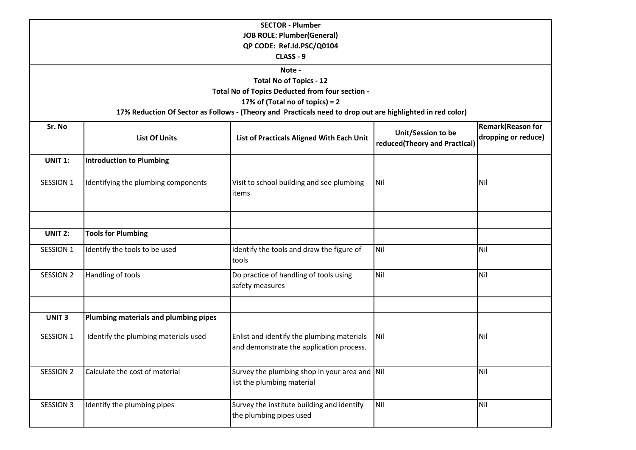| <b>SECTOR - Plumber</b>                                                                                                                       |                                       |                                                                                        |                                                     |                                                 |  |  |  |  |
|-----------------------------------------------------------------------------------------------------------------------------------------------|---------------------------------------|----------------------------------------------------------------------------------------|-----------------------------------------------------|-------------------------------------------------|--|--|--|--|
| <b>JOB ROLE: Plumber(General)</b>                                                                                                             |                                       |                                                                                        |                                                     |                                                 |  |  |  |  |
| QP CODE: Ref.Id.PSC/Q0104                                                                                                                     |                                       |                                                                                        |                                                     |                                                 |  |  |  |  |
| CLASS - 9                                                                                                                                     |                                       |                                                                                        |                                                     |                                                 |  |  |  |  |
| Note -                                                                                                                                        |                                       |                                                                                        |                                                     |                                                 |  |  |  |  |
| <b>Total No of Topics - 12</b>                                                                                                                |                                       |                                                                                        |                                                     |                                                 |  |  |  |  |
| Total No of Topics Deducted from four section -                                                                                               |                                       |                                                                                        |                                                     |                                                 |  |  |  |  |
| 17% of (Total no of topics) = 2<br>17% Reduction Of Sector as Follows - (Theory and Practicals need to drop out are highlighted in red color) |                                       |                                                                                        |                                                     |                                                 |  |  |  |  |
|                                                                                                                                               |                                       |                                                                                        |                                                     |                                                 |  |  |  |  |
| Sr. No                                                                                                                                        | <b>List Of Units</b>                  | List of Practicals Aligned With Each Unit                                              | Unit/Session to be<br>reduced(Theory and Practical) | <b>Remark(Reason for</b><br>dropping or reduce) |  |  |  |  |
| <b>UNIT 1:</b>                                                                                                                                | <b>Introduction to Plumbing</b>       |                                                                                        |                                                     |                                                 |  |  |  |  |
| SESSION 1                                                                                                                                     | Identifying the plumbing components   | Visit to school building and see plumbing<br>items                                     | Nil                                                 | Nil                                             |  |  |  |  |
| <b>UNIT 2:</b>                                                                                                                                | <b>Tools for Plumbing</b>             |                                                                                        |                                                     |                                                 |  |  |  |  |
|                                                                                                                                               |                                       |                                                                                        |                                                     |                                                 |  |  |  |  |
| SESSION 1                                                                                                                                     | Identify the tools to be used         | Identify the tools and draw the figure of<br>tools                                     | Nil                                                 | Nil                                             |  |  |  |  |
| SESSION 2                                                                                                                                     | Handling of tools                     | Do practice of handling of tools using<br>safety measures                              | Nil                                                 | Nil                                             |  |  |  |  |
| UNIT <sub>3</sub>                                                                                                                             | Plumbing materials and plumbing pipes |                                                                                        |                                                     |                                                 |  |  |  |  |
|                                                                                                                                               |                                       |                                                                                        |                                                     |                                                 |  |  |  |  |
| SESSION 1                                                                                                                                     | Identify the plumbing materials used  | Enlist and identify the plumbing materials<br>and demonstrate the application process. | Nil                                                 | Nil                                             |  |  |  |  |
| SESSION 2                                                                                                                                     | Calculate the cost of material        | Survey the plumbing shop in your area and Nil<br>list the plumbing material            |                                                     | Nil                                             |  |  |  |  |
| SESSION 3                                                                                                                                     | Identify the plumbing pipes           | Survey the institute building and identify<br>the plumbing pipes used                  | Nil                                                 | Nil                                             |  |  |  |  |